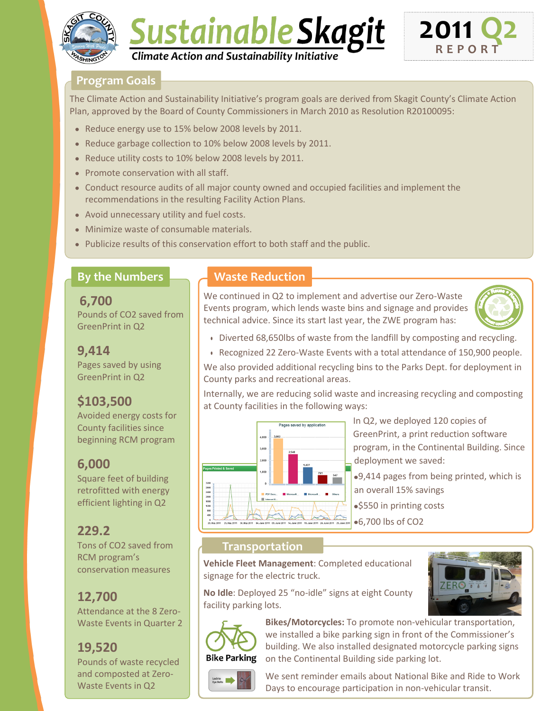

# Sustainable Skagit *Climate Action and Sustainability Initiative*



### **Program Goals**

The Climate Action and Sustainability Initiative's program goals are derived from Skagit County's Climate Action Plan, approved by the Board of County Commissioners in March 2010 as Resolution R20100095:

- Reduce energy use to 15% below 2008 levels by 2011.
- Reduce garbage collection to 10% below 2008 levels by 2011.
- Reduce utility costs to 10% below 2008 levels by 2011.
- Promote conservation with all staff.
- Conduct resource audits of all major county owned and occupied facilities and implement the recommendations in the resulting Facility Action Plans.
- Avoid unnecessary utility and fuel costs.
- Minimize waste of consumable materials.
- Publicize results of this conservation effort to both staff and the public.

### **By the Numbers**

**6,700** Pounds of CO2 saved from GreenPrint in Q2

### **9,414**

Pages saved by using GreenPrint in Q2

# **\$103,500**

Avoided energy costs for County facilities since beginning RCM program

### **6,000**

Square feet of building retrofitted with energy efficient lighting in Q2

# **229.2**

Tons of CO2 saved from RCM program's conservation measures

# **12,700**

Attendance at the 8 Zero-Waste Events in Quarter 2

# **19,520**

Pounds of waste recycled and composted at Zero-Waste Events in Q2

## **Waste Reduction**

We continued in Q2 to implement and advertise our Zero-Waste Events program, which lends waste bins and signage and provides technical advice. Since its start last year, the ZWE program has:



- Diverted 68,650lbs of waste from the landfill by composting and recycling.
- Recognized 22 Zero-Waste Events with a total attendance of 150,900 people.

We also provided additional recycling bins to the Parks Dept. for deployment in County parks and recreational areas.

Internally, we are reducing solid waste and increasing recycling and composting at County facilities in the following ways:



In Q2, we deployed 120 copies of GreenPrint, a print reduction software program, in the Continental Building. Since deployment we saved:

9,414 pages from being printed, which is an overall 15% savings

• \$550 in printing costs

### **Transportation**

**Vehicle Fleet Management**: Completed educational signage for the electric truck.

**No Idle**: Deployed 25 "no-idle" signs at eight County facility parking lots.



**Bikes/Motorcycles:** To promote non-vehicular transportation, we installed a bike parking sign in front of the Commissioner's building. We also installed designated motorcycle parking signs on the Continental Building side parking lot.



We sent reminder emails about National Bike and Ride to Work Days to encourage participation in non-vehicular transit.